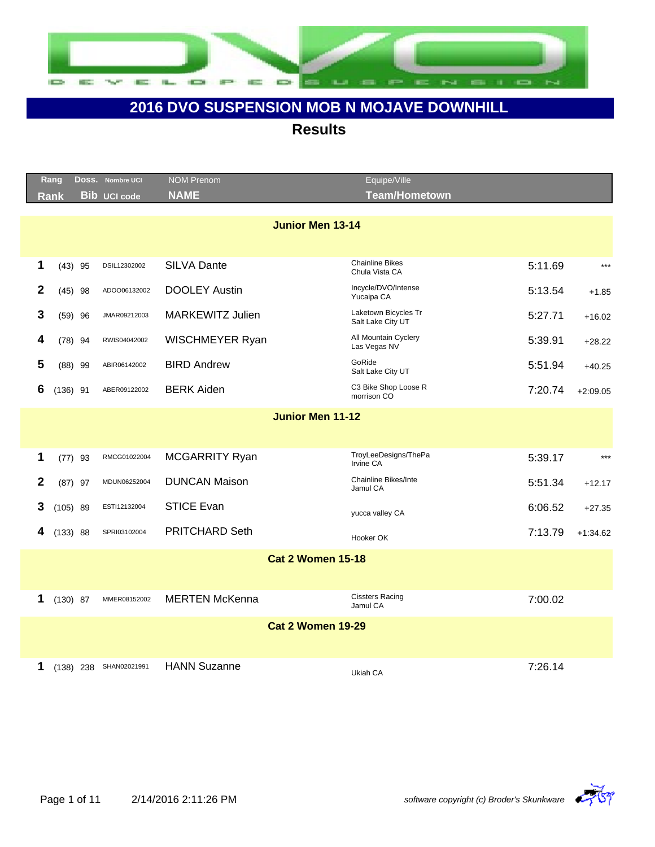

|              | Rang       |             | Doss. Nombre UCI    | <b>NOM Prenom</b>        | Equipe/Ville                              |         |            |
|--------------|------------|-------------|---------------------|--------------------------|-------------------------------------------|---------|------------|
|              | Rank       |             | <b>Bib UCI code</b> | <b>NAME</b>              | <b>Team/Hometown</b>                      |         |            |
|              |            |             |                     | <b>Junior Men 13-14</b>  |                                           |         |            |
|              |            |             |                     |                          |                                           |         |            |
| 1            |            | $(43)$ 95   | DSIL12302002        | <b>SILVA Dante</b>       | <b>Chainline Bikes</b><br>Chula Vista CA  | 5:11.69 | $***$      |
| $\mathbf{2}$ |            | $(45)$ 98   | ADOO06132002        | <b>DOOLEY Austin</b>     | Incycle/DVO/Intense<br>Yucaipa CA         | 5:13.54 | $+1.85$    |
| 3            |            | $(59)$ 96   | JMAR09212003        | <b>MARKEWITZ Julien</b>  | Laketown Bicycles Tr<br>Salt Lake City UT | 5:27.71 | $+16.02$   |
| 4            |            | $(78)$ 94   | RWIS04042002        | WISCHMEYER Ryan          | All Mountain Cyclery<br>Las Vegas NV      | 5:39.91 | $+28.22$   |
| 5            |            | $(88)$ 99   | ABIR06142002        | <b>BIRD Andrew</b>       | GoRide<br>Salt Lake City UT               | 5:51.94 | $+40.25$   |
| 6            | $(136)$ 91 |             | ABER09122002        | <b>BERK Aiden</b>        | C3 Bike Shop Loose R<br>morrison CO       | 7:20.74 | $+2:09.05$ |
|              |            |             |                     | <b>Junior Men 11-12</b>  |                                           |         |            |
|              |            |             |                     |                          |                                           |         |            |
| 1            |            | $(77)$ 93   | RMCG01022004        | MCGARRITY Ryan           | TroyLeeDesigns/ThePa<br>Irvine CA         | 5:39.17 | $***$      |
| 2            |            | $(87)$ 97   | MDUN06252004        | <b>DUNCAN Maison</b>     | <b>Chainline Bikes/Inte</b><br>Jamul CA   | 5:51.34 | $+12.17$   |
| 3            |            | $(105)$ 89  | ESTI12132004        | <b>STICE Evan</b>        | yucca valley CA                           | 6:06.52 | $+27.35$   |
| 4            | (133) 88   |             | SPRI03102004        | <b>PRITCHARD Seth</b>    | Hooker OK                                 | 7:13.79 | $+1:34.62$ |
|              |            |             |                     | <b>Cat 2 Women 15-18</b> |                                           |         |            |
|              |            |             |                     |                          |                                           |         |            |
| 1            | $(130)$ 87 |             | MMER08152002        | <b>MERTEN McKenna</b>    | <b>Cissters Racing</b><br>Jamul CA        | 7:00.02 |            |
|              |            |             |                     | <b>Cat 2 Women 19-29</b> |                                           |         |            |
|              |            |             |                     |                          |                                           |         |            |
| 1            |            | $(138)$ 238 | SHAN02021991        | <b>HANN Suzanne</b>      | Ukiah CA                                  | 7:26.14 |            |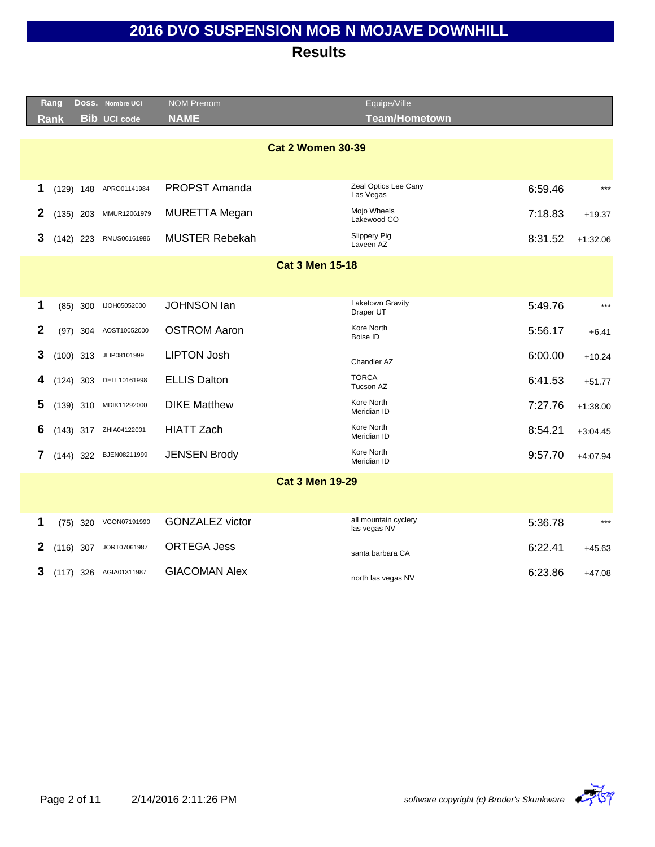|              | Rang                   |             | DOSS. Nombre UCI       | <b>NOM Prenom</b>      | Equipe/Ville                         |         |            |  |  |
|--------------|------------------------|-------------|------------------------|------------------------|--------------------------------------|---------|------------|--|--|
|              | <b>Rank</b>            |             | <b>Bib UCI code</b>    | <b>NAME</b>            | <b>Team/Hometown</b>                 |         |            |  |  |
|              |                        |             |                        |                        | <b>Cat 2 Women 30-39</b>             |         |            |  |  |
| 1            |                        | $(129)$ 148 | APRO01141984           | <b>PROPST Amanda</b>   | Zeal Optics Lee Cany<br>Las Vegas    | 6:59.46 | $***$      |  |  |
| 2            |                        | $(135)$ 203 | MMUR12061979           | <b>MURETTA Megan</b>   | Mojo Wheels<br>Lakewood CO           | 7:18.83 | $+19.37$   |  |  |
| 3            |                        | $(142)$ 223 | RMUS06161986           | <b>MUSTER Rebekah</b>  | <b>Slippery Pig</b><br>Laveen AZ     | 8:31.52 | $+1:32.06$ |  |  |
|              | <b>Cat 3 Men 15-18</b> |             |                        |                        |                                      |         |            |  |  |
|              |                        |             |                        |                        |                                      |         |            |  |  |
| 1            |                        | (85) 300    | IJOH05052000           | <b>JOHNSON lan</b>     | Laketown Gravity<br>Draper UT        | 5:49.76 | $***$      |  |  |
| $\mathbf{2}$ |                        | $(97)$ 304  | AOST10052000           | <b>OSTROM Aaron</b>    | Kore North<br>Boise ID               | 5:56.17 | $+6.41$    |  |  |
| 3            |                        |             | (100) 313 JLIP08101999 | <b>LIPTON Josh</b>     | Chandler AZ                          | 6:00.00 | $+10.24$   |  |  |
| 4            |                        | $(124)$ 303 | DELL10161998           | <b>ELLIS Dalton</b>    | <b>TORCA</b><br>Tucson AZ            | 6:41.53 | $+51.77$   |  |  |
| 5            |                        | $(139)$ 310 | MDIK11292000           | <b>DIKE Matthew</b>    | Kore North<br>Meridian ID            | 7:27.76 | $+1:38.00$ |  |  |
| 6            |                        | $(143)$ 317 | ZHIA04122001           | <b>HIATT Zach</b>      | Kore North<br>Meridian ID            | 8:54.21 | $+3:04.45$ |  |  |
| 7            |                        | $(144)$ 322 | BJEN08211999           | <b>JENSEN Brody</b>    | Kore North<br>Meridian ID            | 9:57.70 | $+4:07.94$ |  |  |
|              |                        |             |                        |                        | <b>Cat 3 Men 19-29</b>               |         |            |  |  |
|              |                        |             |                        |                        |                                      |         |            |  |  |
| 1            |                        | $(75)$ 320  | VGON07191990           | <b>GONZALEZ victor</b> | all mountain cyclery<br>las vegas NV | 5:36.78 | $***$      |  |  |
| 2            |                        | $(116)$ 307 | JORT07061987           | <b>ORTEGA Jess</b>     | santa barbara CA                     | 6:22.41 | $+45.63$   |  |  |
| 3            |                        |             | (117) 326 AGIA01311987 | <b>GIACOMAN Alex</b>   | north las vegas NV                   | 6:23.86 | $+47.08$   |  |  |

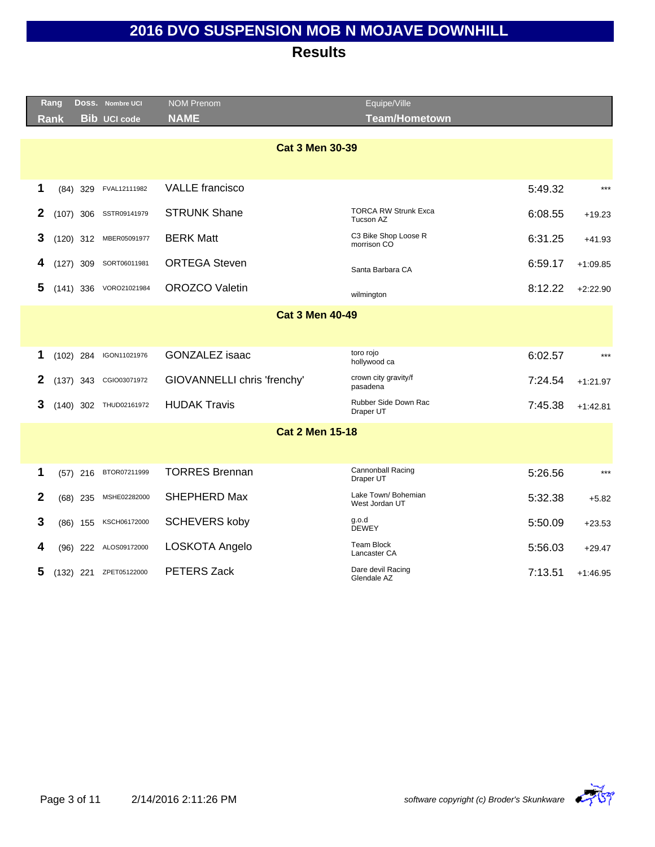|              | Rang                   |             | Doss. Nombre UCI       | <b>NOM Prenom</b>           | Equipe/Ville                             |         |            |  |  |
|--------------|------------------------|-------------|------------------------|-----------------------------|------------------------------------------|---------|------------|--|--|
|              | <b>Rank</b>            |             | <b>Bib UCI code</b>    | <b>NAME</b>                 | <b>Team/Hometown</b>                     |         |            |  |  |
|              |                        |             |                        | <b>Cat 3 Men 30-39</b>      |                                          |         |            |  |  |
| 1            |                        | $(84)$ 329  | FVAL12111982           | <b>VALLE</b> francisco      |                                          | 5:49.32 | $***$      |  |  |
| 2            |                        | $(107)$ 306 | SSTR09141979           | <b>STRUNK Shane</b>         | <b>TORCA RW Strunk Exca</b><br>Tucson AZ | 6:08.55 | $+19.23$   |  |  |
| 3            |                        | $(120)$ 312 | MBER05091977           | <b>BERK Matt</b>            | C3 Bike Shop Loose R<br>morrison CO      | 6:31.25 | $+41.93$   |  |  |
| 4            |                        | $(127)$ 309 | SORT06011981           | <b>ORTEGA Steven</b>        | Santa Barbara CA                         | 6:59.17 | $+1:09.85$ |  |  |
| 5            |                        | $(141)$ 336 | VORO21021984           | <b>OROZCO Valetin</b>       | wilmington                               | 8:12.22 | $+2:22.90$ |  |  |
|              | <b>Cat 3 Men 40-49</b> |             |                        |                             |                                          |         |            |  |  |
|              |                        |             |                        |                             |                                          |         |            |  |  |
| 1            |                        | $(102)$ 284 | IGON11021976           | <b>GONZALEZ</b> isaac       | toro rojo<br>hollywood ca                | 6:02.57 | $***$      |  |  |
| 2            |                        | $(137)$ 343 | CGIO03071972           | GIOVANNELLI chris 'frenchy' | crown city gravity/f<br>pasadena         | 7:24.54 | $+1:21.97$ |  |  |
| 3            |                        |             | (140) 302 THUD02161972 | <b>HUDAK Travis</b>         | Rubber Side Down Rac<br>Draper UT        | 7:45.38 | $+1:42.81$ |  |  |
|              |                        |             |                        | <b>Cat 2 Men 15-18</b>      |                                          |         |            |  |  |
|              |                        |             |                        |                             |                                          |         |            |  |  |
| 1            |                        | $(57)$ 216  | BTOR07211999           | <b>TORRES Brennan</b>       | Cannonball Racing<br>Draper UT           | 5:26.56 | $***$      |  |  |
| $\mathbf{2}$ |                        | $(68)$ 235  | MSHE02282000           | SHEPHERD Max                | Lake Town/ Bohemian<br>West Jordan UT    | 5:32.38 | $+5.82$    |  |  |
| 3            |                        | $(86)$ 155  | KSCH06172000           | <b>SCHEVERS koby</b>        | q.o.d<br><b>DEWEY</b>                    | 5:50.09 | $+23.53$   |  |  |
| 4            |                        |             | (96) 222 ALOS09172000  | LOSKOTA Angelo              | <b>Team Block</b><br>Lancaster CA        | 5:56.03 | $+29.47$   |  |  |
| 5            |                        | $(132)$ 221 | ZPET05122000           | PETERS Zack                 | Dare devil Racing<br>Glendale AZ         | 7:13.51 | $+1:46.95$ |  |  |

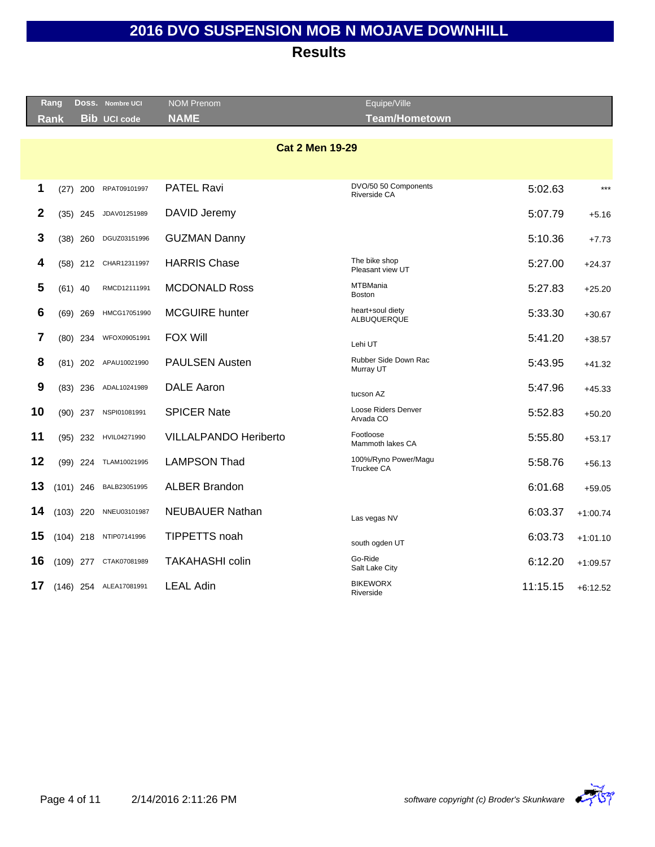|              | Rang        |             | Doss. Nombre UCI       | <b>NOM Prenom</b>            | Equipe/Ville                         |          |            |
|--------------|-------------|-------------|------------------------|------------------------------|--------------------------------------|----------|------------|
|              | <b>Rank</b> |             | <b>Bib UCI code</b>    | <b>NAME</b>                  | <b>Team/Hometown</b>                 |          |            |
|              |             |             |                        | <b>Cat 2 Men 19-29</b>       |                                      |          |            |
|              |             |             |                        |                              |                                      |          |            |
| 1            | (27)        | 200         | RPAT09101997           | <b>PATEL Ravi</b>            | DVO/50 50 Components<br>Riverside CA | 5:02.63  | $***$      |
| $\mathbf{2}$ |             | $(35)$ 245  | JDAV01251989           | DAVID Jeremy                 |                                      | 5:07.79  | $+5.16$    |
| 3            |             | $(38)$ 260  | DGUZ03151996           | <b>GUZMAN Danny</b>          |                                      | 5:10.36  | $+7.73$    |
| 4            |             | $(58)$ 212  | CHAR12311997           | <b>HARRIS Chase</b>          | The bike shop<br>Pleasant view UT    | 5:27.00  | $+24.37$   |
| 5            |             | $(61)$ 40   | RMCD12111991           | <b>MCDONALD Ross</b>         | <b>MTBMania</b><br><b>Boston</b>     | 5:27.83  | $+25.20$   |
| 6            |             | $(69)$ 269  | HMCG17051990           | <b>MCGUIRE</b> hunter        | heart+soul diety<br>ALBUQUERQUE      | 5:33.30  | $+30.67$   |
| 7            |             | $(80)$ 234  | WFOX09051991           | <b>FOX Will</b>              | Lehi UT                              | 5:41.20  | $+38.57$   |
| 8            |             |             | (81) 202 APAU10021990  | <b>PAULSEN Austen</b>        | Rubber Side Down Rac<br>Murray UT    | 5:43.95  | $+41.32$   |
| 9            |             | $(83)$ 236  | ADAL10241989           | <b>DALE Aaron</b>            | tucson AZ                            | 5:47.96  | $+45.33$   |
| 10           |             | $(90)$ 237  | NSPI01081991           | <b>SPICER Nate</b>           | Loose Riders Denver<br>Arvada CO     | 5:52.83  | $+50.20$   |
| 11           |             | $(95)$ 232  | HVIL04271990           | <b>VILLALPANDO Heriberto</b> | Footloose<br>Mammoth lakes CA        | 5:55.80  | $+53.17$   |
| 12           |             | $(99)$ 224  | TLAM10021995           | <b>LAMPSON Thad</b>          | 100%/Ryno Power/Magu<br>Truckee CA   | 5:58.76  | $+56.13$   |
| 13           |             | $(101)$ 246 | BALB23051995           | <b>ALBER Brandon</b>         |                                      | 6:01.68  | $+59.05$   |
| 14           |             | $(103)$ 220 | NNEU03101987           | <b>NEUBAUER Nathan</b>       | Las vegas NV                         | 6:03.37  | $+1:00.74$ |
| 15           |             |             | (104) 218 NTIP07141996 | TIPPETTS noah                | south ogden UT                       | 6:03.73  | $+1:01.10$ |
| 16           |             | $(109)$ 277 | CTAK07081989           | <b>TAKAHASHI colin</b>       | Go-Ride<br>Salt Lake City            | 6:12.20  | $+1:09.57$ |
| 17           |             |             | (146) 254 ALEA17081991 | <b>LEAL Adin</b>             | <b>BIKEWORX</b><br>Riverside         | 11:15.15 | $+6:12.52$ |

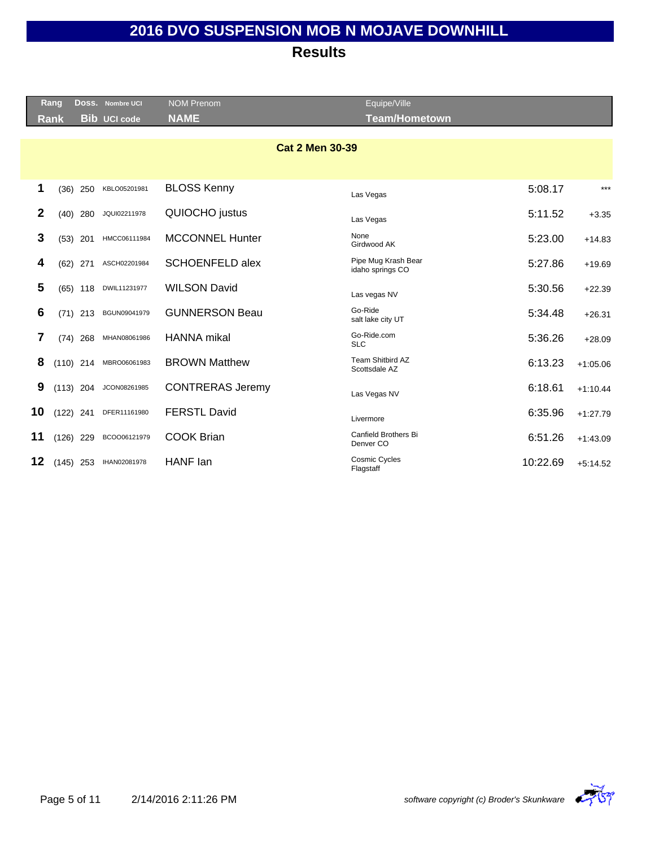|                 | <b>Rang</b> |             | Doss. Nombre UCI    | <b>NOM Prenom</b>       | Equipe/Ville                            |          |            |
|-----------------|-------------|-------------|---------------------|-------------------------|-----------------------------------------|----------|------------|
|                 | <b>Rank</b> |             | <b>Bib UCI code</b> | <b>NAME</b>             | <b>Team/Hometown</b>                    |          |            |
|                 |             |             |                     |                         |                                         |          |            |
|                 |             |             |                     | <b>Cat 2 Men 30-39</b>  |                                         |          |            |
|                 |             |             |                     |                         |                                         |          |            |
| 1               | (36)        | 250         | KBLO05201981        | <b>BLOSS Kenny</b>      | Las Vegas                               | 5:08.17  | $***$      |
| 2               |             | $(40)$ 280  | JQUI02211978        | QUIOCHO justus          | Las Vegas                               | 5:11.52  | $+3.35$    |
| 3               |             | $(53)$ 201  | HMCC06111984        | <b>MCCONNEL Hunter</b>  | None<br>Girdwood AK                     | 5:23.00  | $+14.83$   |
| 4               | (62)        | 271         | ASCH02201984        | <b>SCHOENFELD alex</b>  | Pipe Mug Krash Bear<br>idaho springs CO | 5:27.86  | $+19.69$   |
| 5               |             | $(65)$ 118  | DWIL11231977        | <b>WILSON David</b>     | Las vegas NV                            | 5:30.56  | $+22.39$   |
| $6\phantom{1}6$ |             | $(71)$ 213  | BGUN09041979        | <b>GUNNERSON Beau</b>   | Go-Ride<br>salt lake city UT            | 5:34.48  | $+26.31$   |
| 7               |             | $(74)$ 268  | MHAN08061986        | <b>HANNA</b> mikal      | Go-Ride.com<br><b>SLC</b>               | 5:36.26  | $+28.09$   |
| 8               |             | $(110)$ 214 | MBRO06061983        | <b>BROWN Matthew</b>    | Team Shitbird AZ<br>Scottsdale AZ       | 6:13.23  | $+1:05.06$ |
| 9               |             | $(113)$ 204 | JCON08261985        | <b>CONTRERAS Jeremy</b> | Las Vegas NV                            | 6:18.61  | $+1:10.44$ |
| 10              |             | $(122)$ 241 | DFER11161980        | <b>FERSTL David</b>     | Livermore                               | 6:35.96  | $+1:27.79$ |
| 11              |             | $(126)$ 229 | BCOO06121979        | <b>COOK Brian</b>       | Canfield Brothers Bi<br>Denver CO       | 6:51.26  | $+1:43.09$ |
| 12              |             | $(145)$ 253 | IHAN02081978        | HANF lan                | <b>Cosmic Cycles</b><br>Flagstaff       | 10:22.69 | $+5:14.52$ |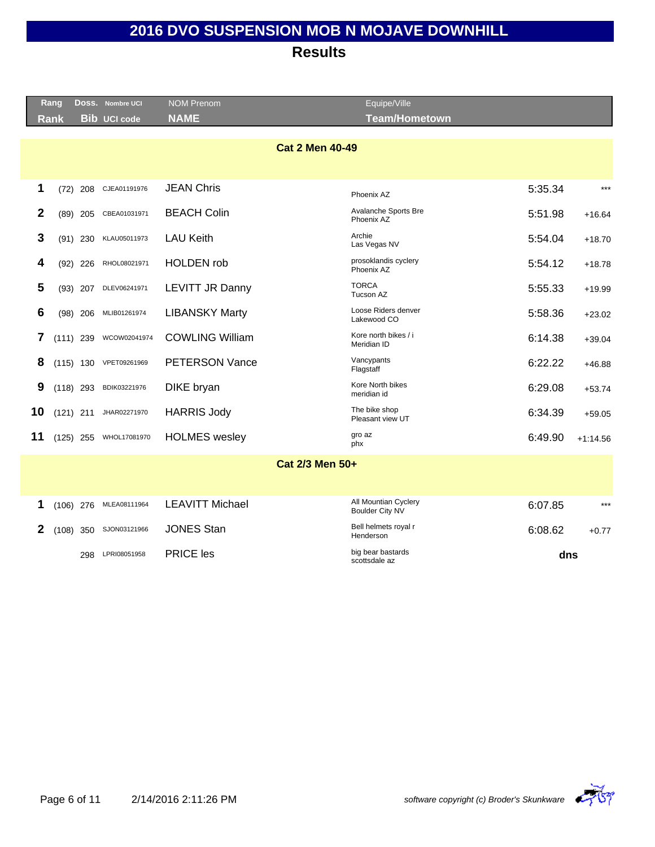**Results**

|              | Rang        |            | DOSS. Nombre UCI       | <b>NOM Prenom</b>      | Equipe/Ville                              |         |            |
|--------------|-------------|------------|------------------------|------------------------|-------------------------------------------|---------|------------|
|              | <b>Rank</b> |            | <b>Bib UCI code</b>    | <b>NAME</b>            | <b>Team/Hometown</b>                      |         |            |
|              |             |            |                        | <b>Cat 2 Men 40-49</b> |                                           |         |            |
|              |             |            |                        |                        |                                           |         |            |
| 1            | (72)        | 208        | CJEA01191976           | <b>JEAN Chris</b>      | Phoenix AZ                                | 5:35.34 | $***$      |
| 2            |             | $(89)$ 205 | CBEA01031971           | <b>BEACH Colin</b>     | <b>Avalanche Sports Bre</b><br>Phoenix AZ | 5:51.98 | $+16.64$   |
| 3            |             | $(91)$ 230 | KLAU05011973           | <b>LAU Keith</b>       | Archie<br>Las Vegas NV                    | 5:54.04 | $+18.70$   |
| 4            |             | $(92)$ 226 | RHOL08021971           | <b>HOLDEN</b> rob      | prosoklandis cyclery<br>Phoenix AZ        | 5:54.12 | $+18.78$   |
| 5            |             | $(93)$ 207 | DLEV06241971           | <b>LEVITT JR Danny</b> | <b>TORCA</b><br>Tucson AZ                 | 5:55.33 | $+19.99$   |
| 6            |             | $(98)$ 206 | MLIB01261974           | <b>LIBANSKY Marty</b>  | Loose Riders denver<br>Lakewood CO        | 5:58.36 | $+23.02$   |
| 7            | $(111)$ 239 |            | WCOW02041974           | <b>COWLING William</b> | Kore north bikes / i<br>Meridian ID       | 6:14.38 | $+39.04$   |
| 8            |             |            | (115) 130 VPET09261969 | <b>PETERSON Vance</b>  | Vancypants<br>Flagstaff                   | 6:22.22 | $+46.88$   |
| 9            | $(118)$ 293 |            | BDIK03221976           | DIKE bryan             | Kore North bikes<br>meridian id           | 6:29.08 | $+53.74$   |
| 10           | $(121)$ 211 |            | JHAR02271970           | <b>HARRIS Jody</b>     | The bike shop<br>Pleasant view UT         | 6:34.39 | $+59.05$   |
| 11           | $(125)$ 255 |            | WHOL17081970           | <b>HOLMES</b> wesley   | gro az<br>phx                             | 6:49.90 | $+1:14.56$ |
|              |             |            |                        | Cat 2/3 Men 50+        |                                           |         |            |
|              |             |            |                        |                        |                                           |         |            |
| 1            | $(106)$ 276 |            | MLEA08111964           | <b>LEAVITT Michael</b> | All Mountian Cyclery<br>Boulder City NV   | 6:07.85 | $***$      |
| $\mathbf{2}$ | $(108)$ 350 |            | SJON03121966           | <b>JONES Stan</b>      | Bell helmets royal r<br>Henderson         | 6:08.62 | $+0.77$    |
|              |             | 298        | LPRI08051958           | <b>PRICE les</b>       | big bear bastards<br>scottsdale az        | dns     |            |

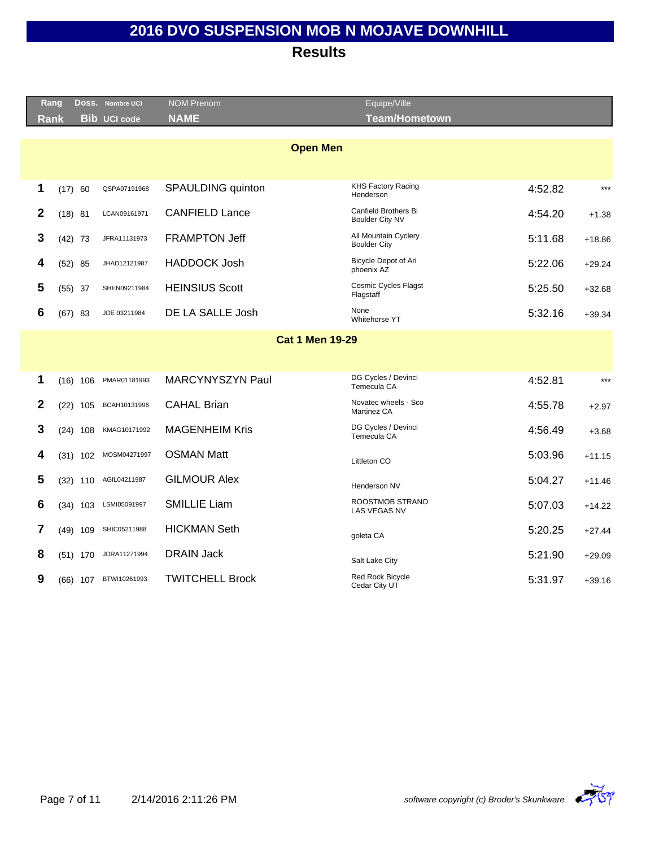|              | Rang        |            |     | DOSS. Nombre UCI      | NOM Prenom              | Equipe/Ville                                |         |          |
|--------------|-------------|------------|-----|-----------------------|-------------------------|---------------------------------------------|---------|----------|
|              | <b>Rank</b> |            |     | <b>Bib UCI code</b>   | <b>NAME</b>             | <b>Team/Hometown</b>                        |         |          |
|              |             |            |     |                       |                         |                                             |         |          |
|              |             |            |     |                       | <b>Open Men</b>         |                                             |         |          |
|              |             |            |     |                       |                         |                                             |         |          |
|              |             |            |     |                       |                         | <b>KHS Factory Racing</b>                   |         | $***$    |
| 1            |             | (17) 60    |     | QSPA07191968          | SPAULDING quinton       | Henderson                                   | 4:52.82 |          |
| $\mathbf{2}$ |             | $(18)$ 81  |     | LCAN09161971          | <b>CANFIELD Lance</b>   | Canfield Brothers Bi<br>Boulder City NV     | 4:54.20 | $+1.38$  |
| 3            |             | $(42)$ 73  |     | JFRA11131973          | <b>FRAMPTON Jeff</b>    | All Mountain Cyclery<br><b>Boulder City</b> | 5:11.68 | $+18.86$ |
| 4            |             | $(52)$ 85  |     | JHAD12121987          | <b>HADDOCK Josh</b>     | Bicycle Depot of Ari<br>phoenix AZ          | 5:22.06 | $+29.24$ |
| 5            |             | $(55)$ 37  |     | SHEN09211984          | <b>HEINSIUS Scott</b>   | <b>Cosmic Cycles Flagst</b><br>Flagstaff    | 5:25.50 | $+32.68$ |
| 6            |             | $(67)$ 83  |     | JDE 03211984          | DE LA SALLE Josh        | None<br>Whitehorse YT                       | 5:32.16 | $+39.34$ |
|              |             |            |     |                       | <b>Cat 1 Men 19-29</b>  |                                             |         |          |
|              |             |            |     |                       |                         |                                             |         |          |
|              |             |            |     |                       |                         |                                             |         |          |
| 1            |             | $(16)$ 106 |     | PMAR01181993          | <b>MARCYNYSZYN Paul</b> | DG Cycles / Devinci<br>Temecula CA          | 4:52.81 | $***$    |
| $\mathbf{2}$ |             | (22)       | 105 | BCAH10131996          | <b>CAHAL Brian</b>      | Novatec wheels - Sco<br>Martinez CA         | 4:55.78 | $+2.97$  |
| 3            |             | $(24)$ 108 |     | KMAG10171992          | <b>MAGENHEIM Kris</b>   | DG Cycles / Devinci<br>Temecula CA          | 4:56.49 | $+3.68$  |
| 4            |             | $(31)$ 102 |     | MOSM04271997          | <b>OSMAN Matt</b>       | Littleton CO                                | 5:03.96 | $+11.15$ |
| 5            |             |            |     | (32) 110 AGIL04211987 | <b>GILMOUR Alex</b>     | Henderson NV                                | 5:04.27 | $+11.46$ |
| 6            |             | $(34)$ 103 |     | LSMI05091997          | <b>SMILLIE Liam</b>     | ROOSTMOB STRANO<br><b>LAS VEGAS NV</b>      | 5:07.03 | $+14.22$ |
| 7            |             | $(49)$ 109 |     | SHIC05211988          | <b>HICKMAN Seth</b>     | goleta CA                                   | 5:20.25 | $+27.44$ |
| 8            |             | $(51)$ 170 |     | JDRA11271994          | <b>DRAIN Jack</b>       | Salt Lake City                              | 5:21.90 | $+29.09$ |
| 9            |             | $(66)$ 107 |     | BTWI10261993          | <b>TWITCHELL Brock</b>  | Red Rock Bicycle<br>Cedar City UT           | 5:31.97 | $+39.16$ |
|              |             |            |     |                       |                         |                                             |         |          |

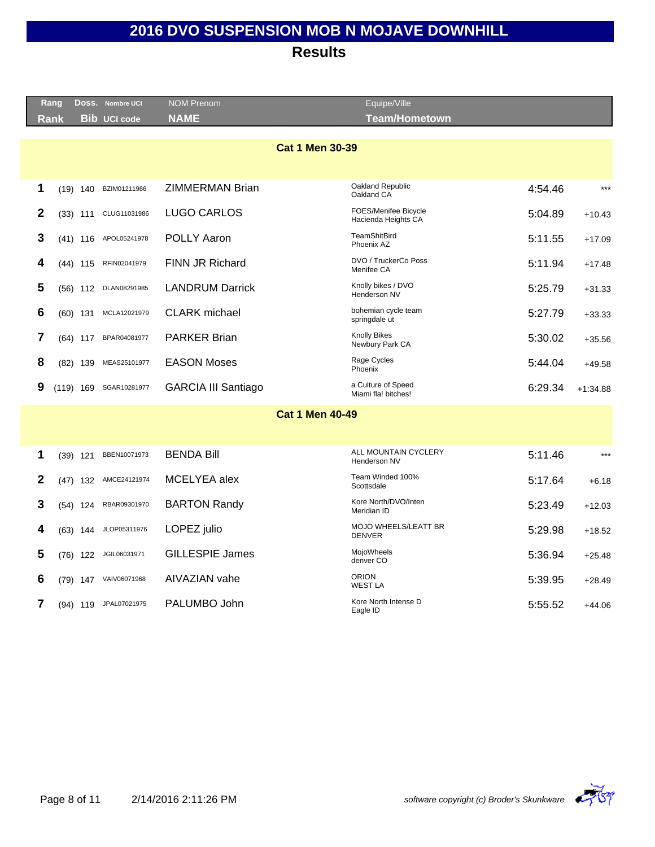|                | Rang |             | DOSS. Nombre UCI      | <b>NOM Prenom</b>          | Equipe/Ville                                |         |            |
|----------------|------|-------------|-----------------------|----------------------------|---------------------------------------------|---------|------------|
|                | Rank |             | <b>Bib UCI code</b>   | <b>NAME</b>                | <b>Team/Hometown</b>                        |         |            |
|                |      |             |                       |                            |                                             |         |            |
|                |      |             |                       | <b>Cat 1 Men 30-39</b>     |                                             |         |            |
|                |      |             |                       |                            |                                             |         |            |
| 1              |      |             | (19) 140 BZIM01211986 | ZIMMERMAN Brian            | Oakland Republic<br>Oakland CA              | 4:54.46 | $***$      |
| $\mathbf{2}$   |      | $(33)$ 111  | CLUG11031986          | <b>LUGO CARLOS</b>         | FOES/Menifee Bicycle<br>Hacienda Heights CA | 5:04.89 | $+10.43$   |
| 3              |      | $(41)$ 116  | APOL05241978          | <b>POLLY Aaron</b>         | TeamShitBird<br>Phoenix AZ                  | 5:11.55 | $+17.09$   |
| 4              |      | $(44)$ 115  | RFIN02041979          | FINN JR Richard            | DVO / TruckerCo Poss<br>Menifee CA          | 5:11.94 | $+17.48$   |
| 5              |      | $(56)$ 112  | DLAN08291985          | <b>LANDRUM Darrick</b>     | Knolly bikes / DVO<br>Henderson NV          | 5:25.79 | $+31.33$   |
| 6              |      | $(60)$ 131  | MCLA12021979          | <b>CLARK</b> michael       | bohemian cycle team<br>springdale ut        | 5:27.79 | $+33.33$   |
| 7              |      | $(64)$ 117  | BPAR04081977          | <b>PARKER Brian</b>        | <b>Knolly Bikes</b><br>Newbury Park CA      | 5:30.02 | $+35.56$   |
| 8              |      | $(82)$ 139  | MEAS25101977          | <b>EASON Moses</b>         | Rage Cycles<br>Phoenix                      | 5:44.04 | $+49.58$   |
| 9              |      | $(119)$ 169 | SGAR10281977          | <b>GARCIA III Santiago</b> | a Culture of Speed<br>Miami fla! bitches!   | 6:29.34 | $+1:34.88$ |
|                |      |             |                       | <b>Cat 1 Men 40-49</b>     |                                             |         |            |
|                |      |             |                       |                            |                                             |         |            |
| 1              |      | $(39)$ 121  | BBEN10071973          | <b>BENDA Bill</b>          | ALL MOUNTAIN CYCLERY                        | 5:11.46 | $***$      |
|                |      |             |                       |                            | Henderson NV                                |         |            |
| $\overline{2}$ |      |             | (47) 132 AMCE24121974 | MCELYEA alex               | Team Winded 100%<br>Scottsdale              | 5:17.64 | $+6.18$    |
| 3              |      | $(54)$ 124  | RBAR09301970          | <b>BARTON Randy</b>        | Kore North/DVO/Inten<br>Meridian ID         | 5:23.49 | $+12.03$   |
| 4              |      | $(63)$ 144  | JLOP05311976          | LOPEZ julio                | MOJO WHEELS/LEATT BR<br><b>DENVER</b>       | 5:29.98 | $+18.52$   |
| 5              | (76) | 122         | JGIL06031971          | <b>GILLESPIE James</b>     | MojoWheels<br>denver CO                     | 5:36.94 | $+25.48$   |
| 6              |      |             | (79) 147 VAIV06071968 | AIVAZIAN vahe              | <b>ORION</b><br><b>WEST LA</b>              | 5:39.95 | $+28.49$   |
| 7              |      |             | (94) 119 JPAL07021975 | PALUMBO John               | Kore North Intense D<br>Eagle ID            | 5:55.52 | $+44.06$   |
|                |      |             |                       |                            |                                             |         |            |

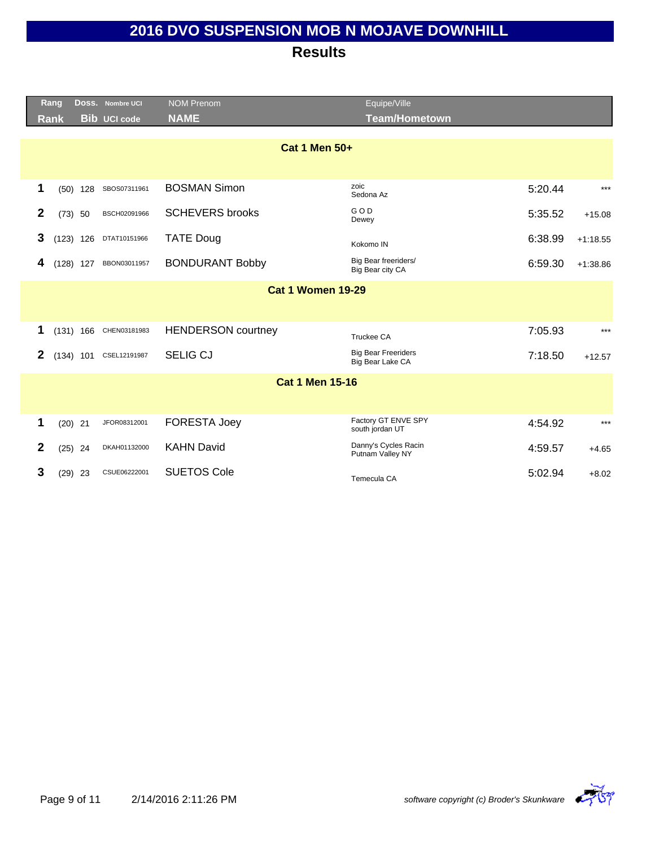|              | Rang                     |             | DOSS. Nombre UCI       | <b>NOM Prenom</b>         | Equipe/Ville                                   |         |            |  |  |
|--------------|--------------------------|-------------|------------------------|---------------------------|------------------------------------------------|---------|------------|--|--|
|              | <b>Rank</b>              |             | <b>Bib UCI code</b>    | <b>NAME</b>               | <b>Team/Hometown</b>                           |         |            |  |  |
|              |                          |             |                        |                           |                                                |         |            |  |  |
|              |                          |             |                        | <b>Cat 1 Men 50+</b>      |                                                |         |            |  |  |
|              |                          |             |                        |                           |                                                |         |            |  |  |
| 1            |                          | $(50)$ 128  | SBOS07311961           | <b>BOSMAN Simon</b>       | zoic<br>Sedona Az                              | 5:20.44 | $***$      |  |  |
| 2            |                          | $(73)$ 50   | BSCH02091966           | <b>SCHEVERS brooks</b>    | GOD<br>Dewey                                   | 5:35.52 | $+15.08$   |  |  |
| 3            |                          | $(123)$ 126 | DTAT10151966           | <b>TATE Doug</b>          | Kokomo IN                                      | 6:38.99 | $+1:18.55$ |  |  |
| 4            |                          | $(128)$ 127 | BBON03011957           | <b>BONDURANT Bobby</b>    | Big Bear freeriders/<br>Big Bear city CA       | 6:59.30 | $+1:38.86$ |  |  |
|              | <b>Cat 1 Women 19-29</b> |             |                        |                           |                                                |         |            |  |  |
|              |                          |             |                        |                           |                                                |         |            |  |  |
| 1            |                          |             | (131) 166 CHEN03181983 | <b>HENDERSON</b> courtney | Truckee CA                                     | 7:05.93 | $***$      |  |  |
| 2            |                          | $(134)$ 101 | CSEL12191987           | <b>SELIG CJ</b>           | <b>Big Bear Freeriders</b><br>Big Bear Lake CA | 7:18.50 | $+12.57$   |  |  |
|              |                          |             |                        | <b>Cat 1 Men 15-16</b>    |                                                |         |            |  |  |
|              |                          |             |                        |                           |                                                |         |            |  |  |
| 1            |                          | $(20)$ 21   | JFOR08312001           | FORESTA Joey              | Factory GT ENVE SPY<br>south jordan UT         | 4:54.92 | $***$      |  |  |
| $\mathbf{2}$ |                          | $(25)$ 24   | DKAH01132000           | <b>KAHN David</b>         | Danny's Cycles Racin<br>Putnam Valley NY       | 4:59.57 | $+4.65$    |  |  |
| 3            |                          | $(29)$ 23   | CSUE06222001           | <b>SUETOS Cole</b>        | Temecula CA                                    | 5:02.94 | $+8.02$    |  |  |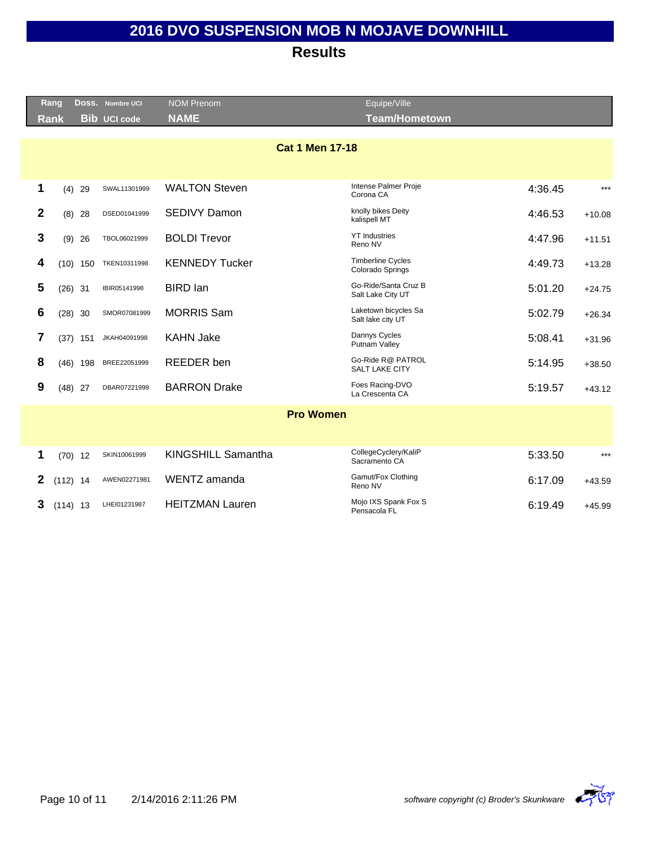|              | Rang        |            | Doss. Nombre UCI    | <b>NOM Prenom</b>      | Equipe/Ville                                 |         |          |
|--------------|-------------|------------|---------------------|------------------------|----------------------------------------------|---------|----------|
|              | <b>Rank</b> |            | <b>Bib UCI code</b> | <b>NAME</b>            | <b>Team/Hometown</b>                         |         |          |
|              |             |            |                     | <b>Cat 1 Men 17-18</b> |                                              |         |          |
| 1            |             | $(4)$ 29   | SWAL11301999        | <b>WALTON Steven</b>   | Intense Palmer Proje<br>Corona CA            | 4:36.45 | $***$    |
| $\mathbf{2}$ |             | $(8)$ 28   | DSED01041999        | <b>SEDIVY Damon</b>    | knolly bikes Deity<br>kalispell MT           | 4:46.53 | $+10.08$ |
| 3            |             | $(9)$ 26   | TBOL06021999        | <b>BOLDI Trevor</b>    | <b>YT Industries</b><br>Reno NV              | 4:47.96 | $+11.51$ |
| 4            |             | $(10)$ 150 | TKEN10311998        | <b>KENNEDY Tucker</b>  | <b>Timberline Cycles</b><br>Colorado Springs | 4:49.73 | $+13.28$ |
| 5            | $(26)$ 31   |            | IBIR05141998        | <b>BIRD</b> lan        | Go-Ride/Santa Cruz B<br>Salt Lake City UT    | 5:01.20 | $+24.75$ |
| 6            | $(28)$ 30   |            | SMOR07081999        | <b>MORRIS Sam</b>      | Laketown bicycles Sa<br>Salt lake city UT    | 5:02.79 | $+26.34$ |
| 7            |             | $(37)$ 151 | JKAH04091998        | <b>KAHN Jake</b>       | Dannys Cycles<br>Putnam Valley               | 5:08.41 | $+31.96$ |
| 8            |             | $(46)$ 198 | BREE22051999        | <b>REEDER</b> ben      | Go-Ride R@ PATROL<br><b>SALT LAKE CITY</b>   | 5:14.95 | $+38.50$ |
| 9            | $(48)$ 27   |            | DBAR07221999        | <b>BARRON Drake</b>    | Foes Racing-DVO<br>La Crescenta CA           | 5:19.57 | $+43.12$ |
|              |             |            |                     | <b>Pro Women</b>       |                                              |         |          |
|              |             |            |                     |                        |                                              |         |          |
| 1            | $(70)$ 12   |            | SKIN10061999        | KINGSHILL Samantha     | CollegeCyclery/KaliP<br>Sacramento CA        | 5:33.50 | $***$    |
| 2            | $(112)$ 14  |            | AWEN02271981        | WENTZ amanda           | Gamut/Fox Clothing<br>Reno NV                | 6:17.09 | $+43.59$ |
| 3            | $(114)$ 13  |            | LHEI01231987        | <b>HEITZMAN Lauren</b> | Mojo IXS Spank Fox S<br>Pensacola FL         | 6:19.49 | $+45.99$ |